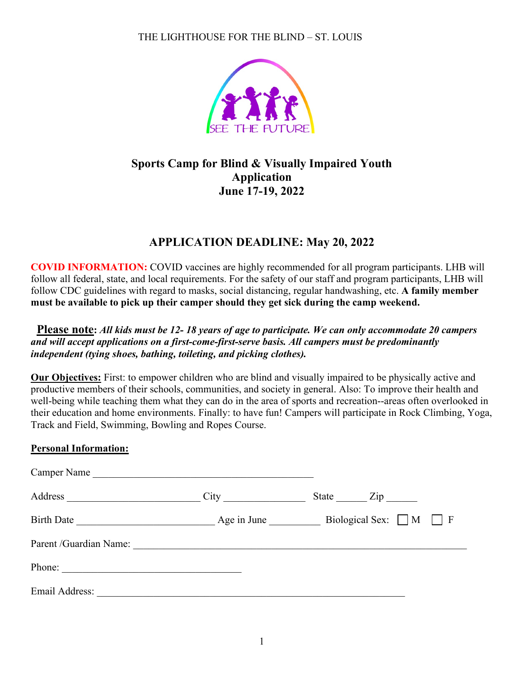THE LIGHTHOUSE FOR THE BLIND – ST. LOUIS



# **Sports Camp for Blind & Visually Impaired Youth Application June 17-19, 2022**

## **APPLICATION DEADLINE: May 20, 2022**

**COVID INFORMATION:** COVID vaccines are highly recommended for all program participants. LHB will follow all federal, state, and local requirements. For the safety of our staff and program participants, LHB will follow CDC guidelines with regard to masks, social distancing, regular handwashing, etc. **A family member must be available to pick up their camper should they get sick during the camp weekend.**

**Please note:** *All kids must be 12- 18 years of age to participate. We can only accommodate 20 campers and will accept applications on a first-come-first-serve basis. All campers must be predominantly independent (tying shoes, bathing, toileting, and picking clothes).* 

**Our Objectives:** First: to empower children who are blind and visually impaired to be physically active and productive members of their schools, communities, and society in general. Also: To improve their health and well-being while teaching them what they can do in the area of sports and recreation--areas often overlooked in their education and home environments. Finally: to have fun! Campers will participate in Rock Climbing, Yoga, Track and Field, Swimming, Bowling and Ropes Course.

## **Personal Information:**

| Camper Name             |             |                                   |
|-------------------------|-------------|-----------------------------------|
|                         |             | $\mathbf{Zip}$<br>State           |
| <b>Birth Date</b>       | Age in June | Biological Sex: $\Box$ M $\Box$ F |
| Parent / Guardian Name: |             |                                   |
| Phone:                  |             |                                   |
| Email Address:          |             |                                   |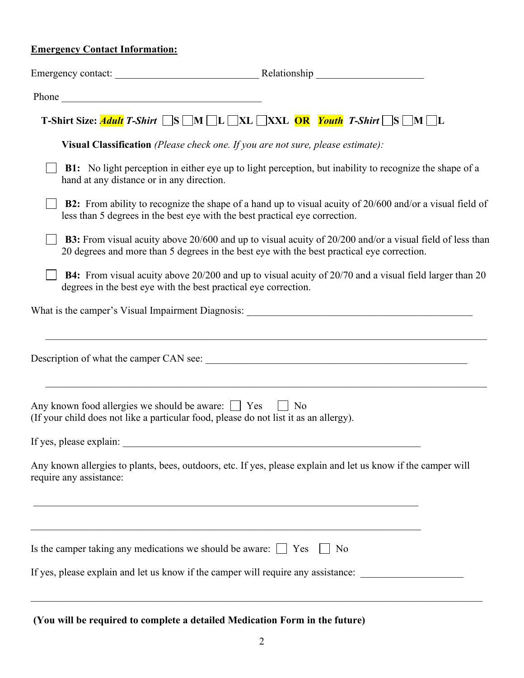# **Emergency Contact Information:**

|                                           | <b>T-Shirt Size:</b> Adult T-Shirt $\Box S \Box M \Box L \Box XL \Box XXL \over \overline{OR}$ Youth T-Shirt $\Box S \Box M \Box L$                                                                           |
|-------------------------------------------|---------------------------------------------------------------------------------------------------------------------------------------------------------------------------------------------------------------|
|                                           | Visual Classification (Please check one. If you are not sure, please estimate):                                                                                                                               |
| hand at any distance or in any direction. | <b>B1:</b> No light perception in either eye up to light perception, but inability to recognize the shape of a                                                                                                |
|                                           | B2: From ability to recognize the shape of a hand up to visual acuity of 20/600 and/or a visual field of<br>less than 5 degrees in the best eye with the best practical eye correction.                       |
|                                           | <b>B3:</b> From visual acuity above 20/600 and up to visual acuity of 20/200 and/or a visual field of less than<br>20 degrees and more than 5 degrees in the best eye with the best practical eye correction. |
|                                           | <b>B4:</b> From visual acuity above 20/200 and up to visual acuity of 20/70 and a visual field larger than 20<br>degrees in the best eye with the best practical eye correction.                              |
|                                           |                                                                                                                                                                                                               |
|                                           | ,我们也不能在这里的时候,我们也不能在这里的时候,我们也不能会在这里的时候,我们也不能会在这里的时候,我们也不能会在这里的时候,我们也不能会在这里的时候,我们也                                                                                                                              |
|                                           | Any known food allergies we should be aware: $\Box$ Yes<br>N <sub>0</sub><br>(If your child does not like a particular food, please do not list it as an allergy).                                            |
|                                           | If yes, please explain:                                                                                                                                                                                       |
| require any assistance:                   | Any known allergies to plants, bees, outdoors, etc. If yes, please explain and let us know if the camper will                                                                                                 |
|                                           |                                                                                                                                                                                                               |
|                                           | Is the camper taking any medications we should be aware: $\Box$ Yes<br>N <sub>o</sub>                                                                                                                         |
|                                           | If yes, please explain and let us know if the camper will require any assistance:                                                                                                                             |
|                                           |                                                                                                                                                                                                               |

**(You will be required to complete a detailed Medication Form in the future)**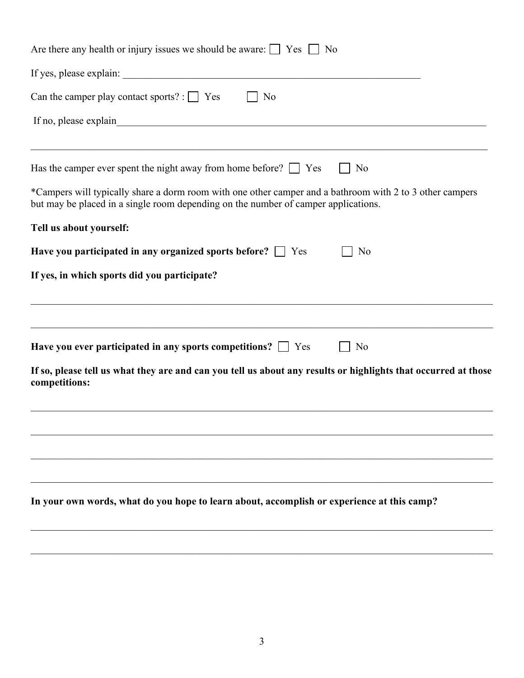| Are there any health or injury issues we should be aware: $\Box$ Yes $\Box$ No                                                                                                                 |  |  |  |
|------------------------------------------------------------------------------------------------------------------------------------------------------------------------------------------------|--|--|--|
|                                                                                                                                                                                                |  |  |  |
| Can the camper play contact sports? $\therefore$ Yes<br>$\vert$   No                                                                                                                           |  |  |  |
|                                                                                                                                                                                                |  |  |  |
|                                                                                                                                                                                                |  |  |  |
| Has the camper ever spent the night away from home before? $\Box$ Yes<br>No                                                                                                                    |  |  |  |
| *Campers will typically share a dorm room with one other camper and a bathroom with 2 to 3 other campers<br>but may be placed in a single room depending on the number of camper applications. |  |  |  |
| Tell us about yourself:                                                                                                                                                                        |  |  |  |
| Have you participated in any organized sports before? $\Box$ Yes<br>N <sub>o</sub>                                                                                                             |  |  |  |
| If yes, in which sports did you participate?                                                                                                                                                   |  |  |  |
|                                                                                                                                                                                                |  |  |  |
|                                                                                                                                                                                                |  |  |  |
| Have you ever participated in any sports competitions? $\Box$ Yes<br>No                                                                                                                        |  |  |  |
| If so, please tell us what they are and can you tell us about any results or highlights that occurred at those<br>competitions:                                                                |  |  |  |
|                                                                                                                                                                                                |  |  |  |
|                                                                                                                                                                                                |  |  |  |
|                                                                                                                                                                                                |  |  |  |
|                                                                                                                                                                                                |  |  |  |
| In your own words, what do you hope to learn about, accomplish or experience at this camp?                                                                                                     |  |  |  |
|                                                                                                                                                                                                |  |  |  |

 $\mathcal{L}_\mathcal{L} = \{ \mathcal{L}_\mathcal{L} = \{ \mathcal{L}_\mathcal{L} = \{ \mathcal{L}_\mathcal{L} = \{ \mathcal{L}_\mathcal{L} = \{ \mathcal{L}_\mathcal{L} = \{ \mathcal{L}_\mathcal{L} = \{ \mathcal{L}_\mathcal{L} = \{ \mathcal{L}_\mathcal{L} = \{ \mathcal{L}_\mathcal{L} = \{ \mathcal{L}_\mathcal{L} = \{ \mathcal{L}_\mathcal{L} = \{ \mathcal{L}_\mathcal{L} = \{ \mathcal{L}_\mathcal{L} = \{ \mathcal{L}_\mathcal{$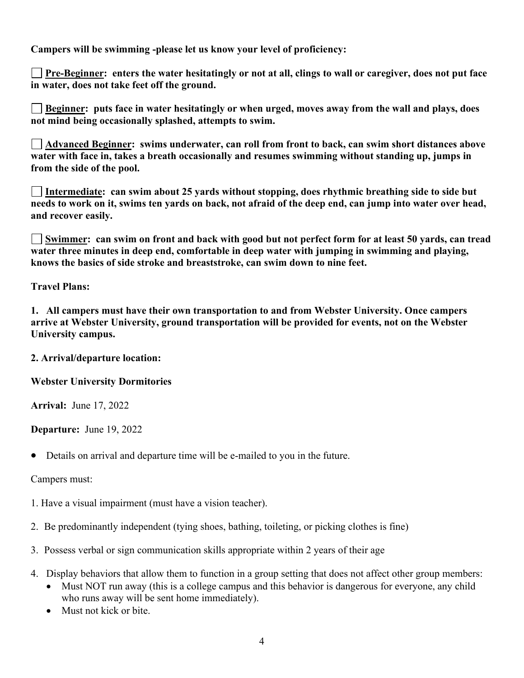**Campers will be swimming -please let us know your level of proficiency:** 

**Pre-Beginner: enters the water hesitatingly or not at all, clings to wall or caregiver, does not put face in water, does not take feet off the ground.**

**Beginner: puts face in water hesitatingly or when urged, moves away from the wall and plays, does not mind being occasionally splashed, attempts to swim.** 

 **Advanced Beginner: swims underwater, can roll from front to back, can swim short distances above water with face in, takes a breath occasionally and resumes swimming without standing up, jumps in from the side of the pool.**

**Intermediate: can swim about 25 yards without stopping, does rhythmic breathing side to side but needs to work on it, swims ten yards on back, not afraid of the deep end, can jump into water over head, and recover easily.**

**Swimmer: can swim on front and back with good but not perfect form for at least 50 yards, can tread water three minutes in deep end, comfortable in deep water with jumping in swimming and playing, knows the basics of side stroke and breaststroke, can swim down to nine feet.** 

**Travel Plans:** 

**1. All campers must have their own transportation to and from Webster University. Once campers arrive at Webster University, ground transportation will be provided for events, not on the Webster University campus.**

## **2. Arrival/departure location:**

## **Webster University Dormitories**

**Arrival:** June 17, 2022

**Departure:** June 19, 2022

• Details on arrival and departure time will be e-mailed to you in the future.

## Campers must:

- 1. Have a visual impairment (must have a vision teacher).
- 2. Be predominantly independent (tying shoes, bathing, toileting, or picking clothes is fine)
- 3. Possess verbal or sign communication skills appropriate within 2 years of their age
- 4. Display behaviors that allow them to function in a group setting that does not affect other group members:
	- Must NOT run away (this is a college campus and this behavior is dangerous for everyone, any child who runs away will be sent home immediately).
	- Must not kick or bite.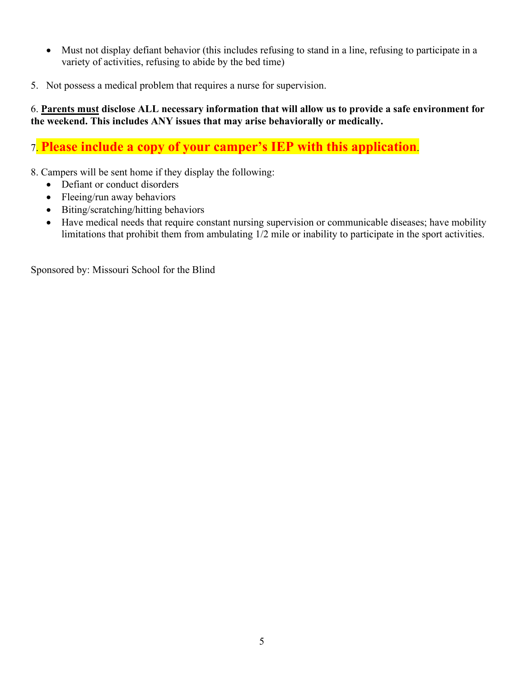- Must not display defiant behavior (this includes refusing to stand in a line, refusing to participate in a variety of activities, refusing to abide by the bed time)
- 5. Not possess a medical problem that requires a nurse for supervision.

6. **Parents must disclose ALL necessary information that will allow us to provide a safe environment for the weekend. This includes ANY issues that may arise behaviorally or medically.**

# 7. **Please include a copy of your camper's IEP with this application**.

8. Campers will be sent home if they display the following:

- Defiant or conduct disorders
- Fleeing/run away behaviors
- Biting/scratching/hitting behaviors
- Have medical needs that require constant nursing supervision or communicable diseases; have mobility limitations that prohibit them from ambulating 1/2 mile or inability to participate in the sport activities.

Sponsored by: Missouri School for the Blind